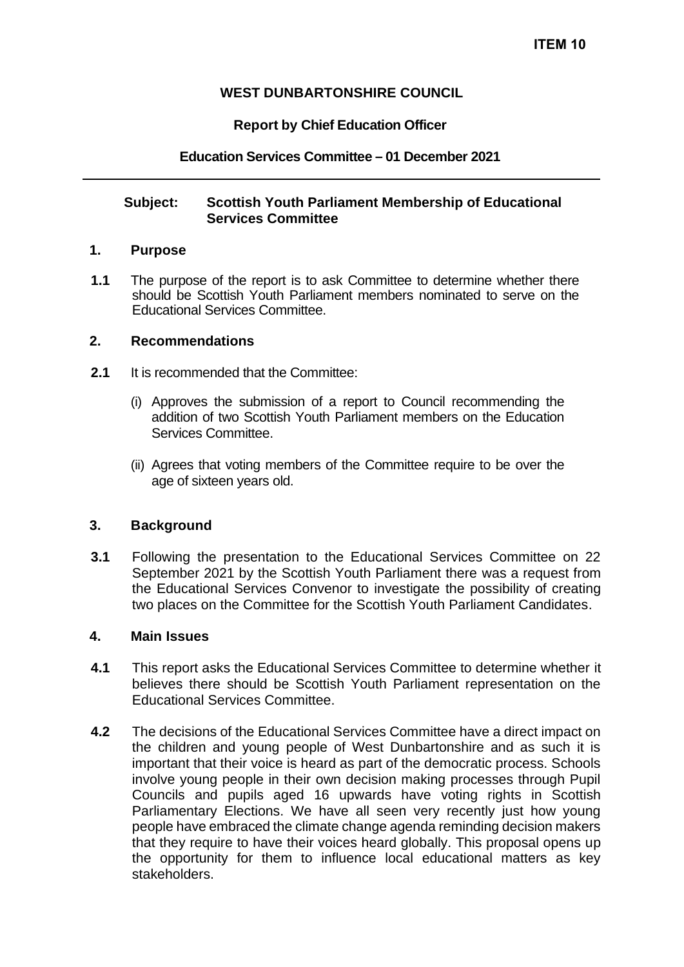## **WEST DUNBARTONSHIRE COUNCIL**

## **Report by Chief Education Officer**

### **Education Services Committee – 01 December 2021**

### **Subject: Scottish Youth Parliament Membership of Educational Services Committee**

#### **1. Purpose**

**1.1** The purpose of the report is to ask Committee to determine whether there should be Scottish Youth Parliament members nominated to serve on the Educational Services Committee.

## **2. Recommendations**

- **2.1** It is recommended that the Committee:
	- (i) Approves the submission of a report to Council recommending the addition of two Scottish Youth Parliament members on the Education Services Committee.
	- (ii) Agrees that voting members of the Committee require to be over the age of sixteen years old.

## **3. Background**

**3.1** Following the presentation to the Educational Services Committee on 22 September 2021 by the Scottish Youth Parliament there was a request from the Educational Services Convenor to investigate the possibility of creating two places on the Committee for the Scottish Youth Parliament Candidates.

#### **4. Main Issues**

- **4.1** This report asks the Educational Services Committee to determine whether it believes there should be Scottish Youth Parliament representation on the Educational Services Committee.
- **4.2** The decisions of the Educational Services Committee have a direct impact on the children and young people of West Dunbartonshire and as such it is important that their voice is heard as part of the democratic process. Schools involve young people in their own decision making processes through Pupil Councils and pupils aged 16 upwards have voting rights in Scottish Parliamentary Elections. We have all seen very recently just how young people have embraced the climate change agenda reminding decision makers that they require to have their voices heard globally. This proposal opens up the opportunity for them to influence local educational matters as key stakeholders.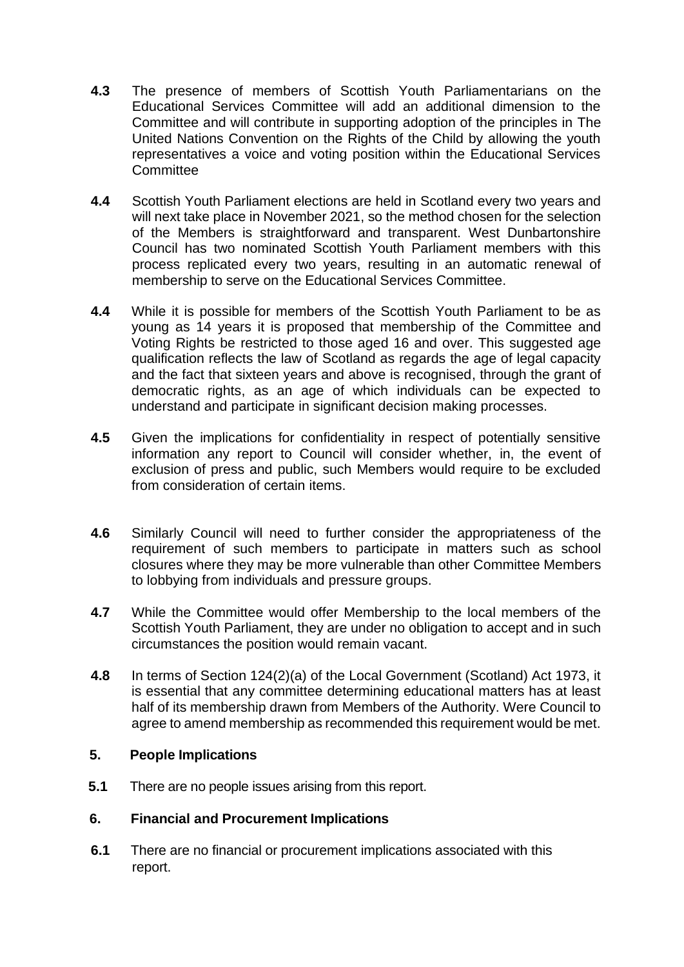- **4.3** The presence of members of Scottish Youth Parliamentarians on the Educational Services Committee will add an additional dimension to the Committee and will contribute in supporting adoption of the principles in The United Nations Convention on the Rights of the Child by allowing the youth representatives a voice and voting position within the Educational Services **Committee**
- **4.4** Scottish Youth Parliament elections are held in Scotland every two years and will next take place in November 2021, so the method chosen for the selection of the Members is straightforward and transparent. West Dunbartonshire Council has two nominated Scottish Youth Parliament members with this process replicated every two years, resulting in an automatic renewal of membership to serve on the Educational Services Committee.
- **4.4** While it is possible for members of the Scottish Youth Parliament to be as young as 14 years it is proposed that membership of the Committee and Voting Rights be restricted to those aged 16 and over. This suggested age qualification reflects the law of Scotland as regards the age of legal capacity and the fact that sixteen years and above is recognised, through the grant of democratic rights, as an age of which individuals can be expected to understand and participate in significant decision making processes.
- **4.5** Given the implications for confidentiality in respect of potentially sensitive information any report to Council will consider whether, in, the event of exclusion of press and public, such Members would require to be excluded from consideration of certain items.
- **4.6** Similarly Council will need to further consider the appropriateness of the requirement of such members to participate in matters such as school closures where they may be more vulnerable than other Committee Members to lobbying from individuals and pressure groups.
- **4.7** While the Committee would offer Membership to the local members of the Scottish Youth Parliament, they are under no obligation to accept and in such circumstances the position would remain vacant.
- **4.8** In terms of Section 124(2)(a) of the Local Government (Scotland) Act 1973, it is essential that any committee determining educational matters has at least half of its membership drawn from Members of the Authority. Were Council to agree to amend membership as recommended this requirement would be met.

## **5. People Implications**

**5.1** There are no people issues arising from this report.

## **6. Financial and Procurement Implications**

**6.1** There are no financial or procurement implications associated with this report.